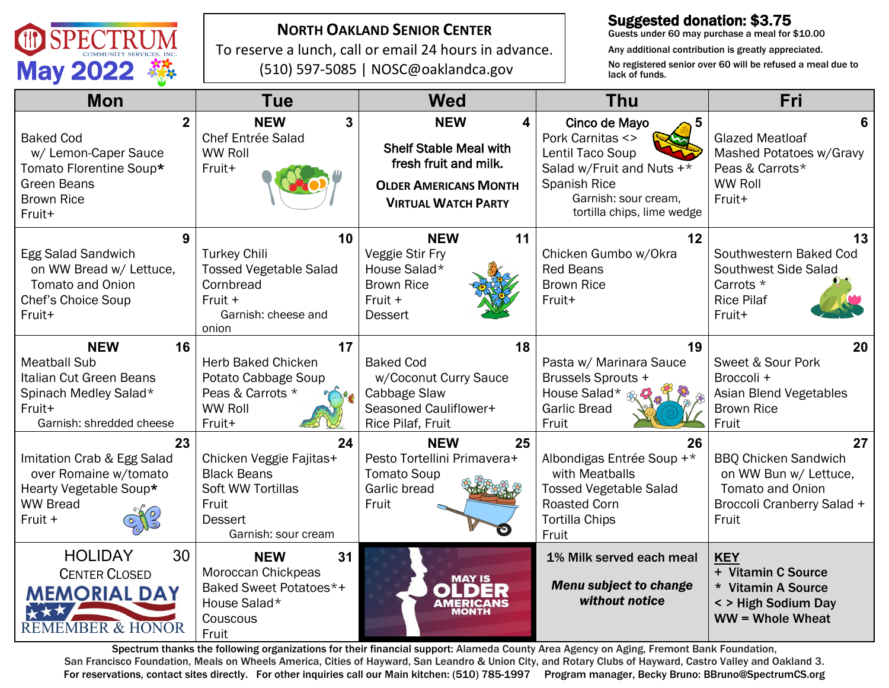

### **NORTH OAKLAND SENIOR CENTER**

To reserve a lunch, call or email 24 hours in advance. (510) 597-5085 | NOSC@oaklandca.gov

# Suggested donation: \$3.75

Guests under 60 may purchase a meal for \$10.00

Any additional contribution is greatly appreciated. No registered senior over 60 will be refused a meal due to lack of funds.

| <b>Mon</b>                                                                                                                        | <b>Tue</b>                                                                                                                 | <b>Wed</b>                                                                                                                              | <b>Thu</b>                                                                                                                                                           | Fri                                                                                                                          |
|-----------------------------------------------------------------------------------------------------------------------------------|----------------------------------------------------------------------------------------------------------------------------|-----------------------------------------------------------------------------------------------------------------------------------------|----------------------------------------------------------------------------------------------------------------------------------------------------------------------|------------------------------------------------------------------------------------------------------------------------------|
| 2<br><b>Baked Cod</b><br>w/ Lemon-Caper Sauce<br>Tomato Florentine Soup*<br><b>Green Beans</b><br><b>Brown Rice</b><br>Fruit+     | 3<br><b>NEW</b><br>Chef Entrée Salad<br><b>WW Roll</b><br>Fruit+                                                           | <b>NEW</b><br>4<br><b>Shelf Stable Meal with</b><br>fresh fruit and milk.<br><b>OLDER AMERICANS MONTH</b><br><b>VIRTUAL WATCH PARTY</b> | Cinco de Mayo<br>5<br>Pork Carnitas <><br>Lentil Taco Soup<br>Salad w/Fruit and Nuts +*<br><b>Spanish Rice</b><br>Garnish: sour cream.<br>tortilla chips, lime wedge | 6<br><b>Glazed Meatloaf</b><br>Mashed Potatoes w/Gravy<br>Peas & Carrots*<br><b>WW Roll</b><br>Fruit+                        |
| 9<br>Egg Salad Sandwich<br>on WW Bread w/ Lettuce,<br><b>Tomato and Onion</b><br>Chef's Choice Soup<br>Fruit+                     | 10<br><b>Turkey Chili</b><br><b>Tossed Vegetable Salad</b><br>Cornbread<br>Fruit +<br>Garnish: cheese and<br>onion         | <b>NEW</b><br>11<br>Veggie Stir Fry<br>House Salad*<br><b>Brown Rice</b><br>Fruit +<br><b>Dessert</b>                                   | 12<br>Chicken Gumbo w/Okra<br><b>Red Beans</b><br><b>Brown Rice</b><br>Fruit+                                                                                        | 13<br>Southwestern Baked Cod<br>Southwest Side Salad<br>Carrots *<br><b>Rice Pilaf</b><br>Fruit+                             |
| <b>NEW</b><br>16<br><b>Meatball Sub</b><br>Italian Cut Green Beans<br>Spinach Medley Salad*<br>Fruit+<br>Garnish: shredded cheese | 17<br><b>Herb Baked Chicken</b><br>Potato Cabbage Soup<br>Peas & Carrots *<br><b>WW Roll</b><br>Fruit+                     | 18<br><b>Baked Cod</b><br>w/Coconut Curry Sauce<br>Cabbage Slaw<br>Seasoned Cauliflower+<br>Rice Pilaf, Fruit                           | 19<br>Pasta w/ Marinara Sauce<br><b>Brussels Sprouts +</b><br>House Salad* &<br><b>Garlic Bread</b><br>Fruit                                                         | 20<br>Sweet & Sour Pork<br>Broccoli +<br>Asian Blend Vegetables<br><b>Brown Rice</b><br>Fruit                                |
| 23<br>Imitation Crab & Egg Salad<br>over Romaine w/tomato<br>Hearty Vegetable Soup*<br><b>WW Bread</b><br>Fruit +                 | 24<br>Chicken Veggie Fajitas+<br><b>Black Beans</b><br>Soft WW Tortillas<br>Fruit<br><b>Dessert</b><br>Garnish: sour cream | <b>NEW</b><br>25<br>Pesto Tortellini Primavera+<br><b>Tomato Soup</b><br>Garlic bread<br>Fruit                                          | 26<br>Albondigas Entrée Soup +*<br>with Meatballs<br><b>Tossed Vegetable Salad</b><br><b>Roasted Corn</b><br><b>Tortilla Chips</b><br>Fruit                          | 27<br><b>BBQ Chicken Sandwich</b><br>on WW Bun w/ Lettuce,<br><b>Tomato and Onion</b><br>Broccoli Cranberry Salad +<br>Fruit |
| <b>HOLIDAY</b><br>30<br><b>CENTER CLOSED</b><br><b>MEMORIAL DAY</b><br><b>REMEMBER &amp; HONOR</b>                                | 31<br><b>NEW</b><br>Moroccan Chickpeas<br>Baked Sweet Potatoes*+<br>House Salad*<br>Couscous<br>Fruit                      | <b>MAY IS</b>                                                                                                                           | 1% Milk served each meal<br><b>Menu subject to change</b><br>without notice                                                                                          | <b>KEY</b><br>+ Vitamin C Source<br>* Vitamin A Source<br>< > High Sodium Day<br>$WW = Whole$ Wheat                          |

Spectrum thanks the following organizations for their financial support: Alameda County Area Agency on Aging, Fremont Bank Foundation, San Francisco Foundation, Meals on Wheels America, Cities of Hayward, San Leandro & Union City, and Rotary Clubs of Hayward, Castro Valley and Oakland 3. For reservations, contact sites directly. For other inquiries call our Main kitchen: (510) 785-1997 Program manager, Becky Bruno: BBruno@SpectrumCS.org